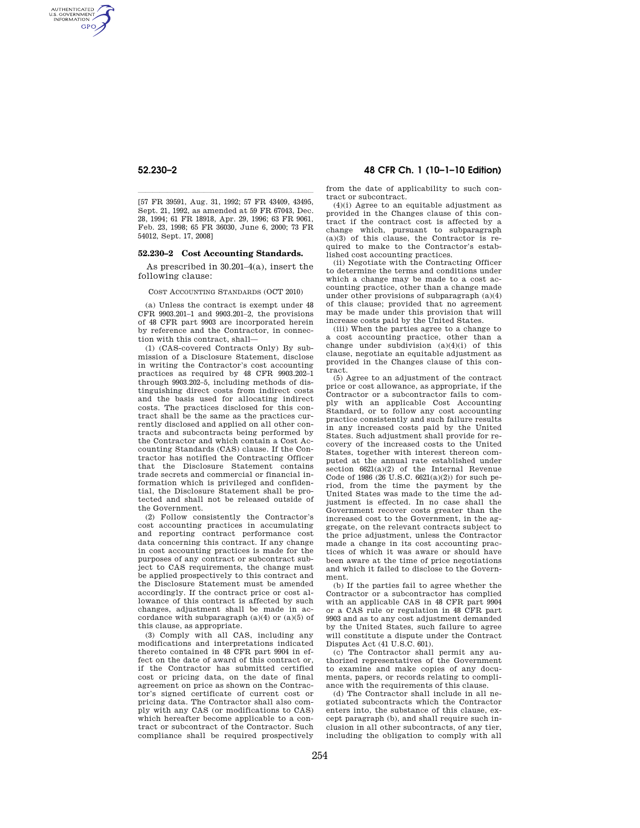AUTHENTICATED<br>U.S. GOVERNMENT<br>INFORMATION GPO.

> |<br>| 197 FR 39591, Aug. 31, 1992; 57 FR 43409, 43495, 157 FR Sept. 21, 1992, as amended at 59 FR 67043, Dec. 28, 1994; 61 FR 18918, Apr. 29, 1996; 63 FR 9061, Feb. 23, 1998; 65 FR 36030, June 6, 2000; 73 FR 54012, Sept. 17, 2008]

## **52.230–2 Cost Accounting Standards.**

As prescribed in 30.201–4(a), insert the following clause:

COST ACCOUNTING STANDARDS (OCT 2010)

(a) Unless the contract is exempt under 48 CFR 9903.201–1 and 9903.201–2, the provisions of 48 CFR part 9903 are incorporated herein by reference and the Contractor, in connection with this contract, shall—

(1) (CAS-covered Contracts Only) By submission of a Disclosure Statement, disclose in writing the Contractor's cost accounting practices as required by 48 CFR 9903.202–1 through 9903.202–5, including methods of distinguishing direct costs from indirect costs and the basis used for allocating indirect costs. The practices disclosed for this contract shall be the same as the practices currently disclosed and applied on all other contracts and subcontracts being performed by the Contractor and which contain a Cost Accounting Standards (CAS) clause. If the Contractor has notified the Contracting Officer that the Disclosure Statement contains trade secrets and commercial or financial information which is privileged and confidential, the Disclosure Statement shall be protected and shall not be released outside of the Government.

(2) Follow consistently the Contractor's cost accounting practices in accumulating and reporting contract performance cost data concerning this contract. If any change in cost accounting practices is made for the purposes of any contract or subcontract subject to CAS requirements, the change must be applied prospectively to this contract and the Disclosure Statement must be amended accordingly. If the contract price or cost allowance of this contract is affected by such changes, adjustment shall be made in accordance with subparagraph  $(a)(4)$  or  $(a)(5)$  of this clause, as appropriate.

(3) Comply with all CAS, including any modifications and interpretations indicated thereto contained in 48 CFR part 9904 in effect on the date of award of this contract or, if the Contractor has submitted certified cost or pricing data, on the date of final agreement on price as shown on the Contractor's signed certificate of current cost or pricing data. The Contractor shall also comply with any CAS (or modifications to CAS) which hereafter become applicable to a contract or subcontract of the Contractor. Such compliance shall be required prospectively

# **52.230–2 48 CFR Ch. 1 (10–1–10 Edition)**

from the date of applicability to such contract or subcontract.

 $(4)(i)$  Agree to an equitable adjustment as provided in the Changes clause of this contract if the contract cost is affected by a change which, pursuant to subparagraph  $(a)(3)$  of this clause, the Contractor is required to make to the Contractor's established cost accounting practices.

(ii) Negotiate with the Contracting Officer to determine the terms and conditions under which a change may be made to a cost accounting practice, other than a change made under other provisions of subparagraph (a)(4) of this clause; provided that no agreement may be made under this provision that will increase costs paid by the United States.

(iii) When the parties agree to a change to a cost accounting practice, other than a change under subdivision (a)(4)(i) of this clause, negotiate an equitable adjustment as provided in the Changes clause of this contract.

(5) Agree to an adjustment of the contract price or cost allowance, as appropriate, if the Contractor or a subcontractor fails to comply with an applicable Cost Accounting Standard, or to follow any cost accounting practice consistently and such failure results in any increased costs paid by the United States. Such adjustment shall provide for recovery of the increased costs to the United States, together with interest thereon computed at the annual rate established under section 6621(a)(2) of the Internal Revenue Code of 1986 (26 U.S.C. 6621(a)(2)) for such period, from the time the payment by the United States was made to the time the adjustment is effected. In no case shall the Government recover costs greater than the increased cost to the Government, in the aggregate, on the relevant contracts subject to the price adjustment, unless the Contractor made a change in its cost accounting practices of which it was aware or should have been aware at the time of price negotiations and which it failed to disclose to the Government.

(b) If the parties fail to agree whether the Contractor or a subcontractor has complied with an applicable CAS in 48 CFR part 9904 or a CAS rule or regulation in 48 CFR part 9903 and as to any cost adjustment demanded by the United States, such failure to agree will constitute a dispute under the Contract Disputes Act (41 U.S.C. 601).

(c) The Contractor shall permit any authorized representatives of the Government to examine and make copies of any documents, papers, or records relating to compliance with the requirements of this clause.

(d) The Contractor shall include in all negotiated subcontracts which the Contractor enters into, the substance of this clause, except paragraph (b), and shall require such inclusion in all other subcontracts, of any tier, including the obligation to comply with all